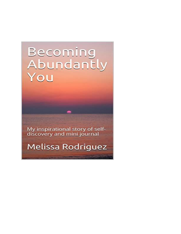# Becoming Abundantly You

My inspirational story of self-<br>discovery and mini journal

Melissa Rodriguez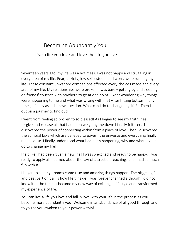# Becoming Abundantly You

#### Live a life you love and love the life you live!

Seventeen years ago, my life was a hot mess. I was not happy and struggling in every area of my life. Fear, anxiety, low self-esteem and worry were running my life. These constant unwanted companions effected every choice I made and every area of my life. My relationships were broken, I was barely getting by and sleeping on friends' couches with nowhere to go at one point. I kept wondering why things were happening to me and what was wrong with me! After hitting bottom many times, I finally asked a new question. What can I do to change my life?! Then I set out on a journey to find out!

I went from feeling so broken to so blessed! As I began to see my truth, heal, forgive and release all that had been weighing me down I finally felt free. I discovered the power of connecting within from a place of love. Then I discovered the spiritual laws which are believed to govern the universe and everything finally made sense. I finally understood what had been happening, why and what I could do to change my life!

I felt like I had been given a new life! I was so excited and ready to be happy! I was ready to apply all I learned about the law of attraction teachings and I had so much fun with it!!

I began to see my dreams come true and amazing things happen! The biggest gift and best part of it all is how I felt inside. I was forever changed although I did not know it at the time. It became my new way of existing, a lifestyle and transformed my experience of life.

You can live a life you love and fall in love with your life in the process as you become more abundantly you! Welcome in an abundance of all good through and to you as you awaken to your power within!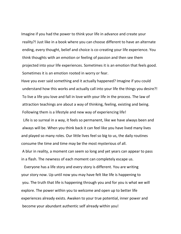Imagine if you had the power to think your life in advance and create your reality?! Just like in a book where you can choose different to have an alternate ending, every thought, belief and choice is co-creating your life experience. You think thoughts with an emotion or feeling of passion and then see them projected into your life experiences. Sometimes it is an emotion that feels good. Sometimes it is an emotion rooted in worry or fear.

Have you ever said something and it actually happened? Imagine if you could understand how this works and actually call into your life the things you desire?! To live a life you love and fall in love with your life in the process. The law of attraction teachings are about a way of thinking, feeling, existing and being. Following them is a lifestyle and new way of experiencing life!

 Life is so surreal in a way, it feels so permanent, like we have always been and always will be. When you think back it can feel like you have lived many lives and played so many roles. Our little lives feel so big to us, the daily routines consume the time and time may be the most mysterious of all.

A blur in reality, a moment can seem so long and yet years can appear to pass in a flash. The newness of each moment can completely escape us.

 Everyone has a life story and every story is different. You are writing your story now. Up until now you may have felt like life is happening to you. The truth that life is happening through you and for you is what we will explore. The power within you to welcome and open up to better life experiences already exists. Awaken to your true potential, inner power and become your abundant authentic self already within you!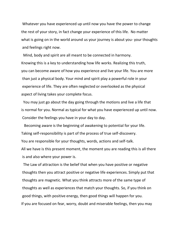Whatever you have experienced up until now you have the power to change the rest of your story, in fact change your experience of this life. No matter what is going on in the world around us your journey is about you- your thoughts and feelings right now.

 Mind, body and spirit are all meant to be connected in harmony. Knowing this is a key to understanding how life works. Realizing this truth, you can become aware of how you experience and live your life. You are more than just a physical body. Your mind and spirit play a powerful role in your experience of life. They are often neglected or overlooked as the physical aspect of living takes your complete focus.

 You may just go about the day going through the motions and live a life that is normal for you. Normal as typical for what you have experienced up until now. Consider the feelings you have in your day to day.

 Becoming aware is the beginning of awakening to potential for your life. Taking self-responsibility is part of the process of true self-discovery. You are responsible for your thoughts, words, actions and self-talk. All we have is this present moment, the moment you are reading this is all there is and also where your power is.

 The Law of attraction is the belief that when you have positive or negative thoughts then you attract positive or negative life experiences. Simply put that thoughts are magnetic. What you think attracts more of the same type of thoughts as well as experiences that match your thoughts. So, if you think on good things, with positive energy, then good things will happen for you. If you are focused on fear, worry, doubt and miserable feelings, then you may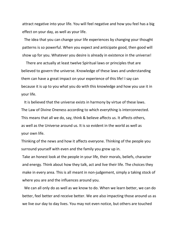attract negative into your life. You will feel negative and how you feel has a big effect on your day, as well as your life.

 The idea that you can change your life experiences by changing your thought patterns is so powerful. When you expect and anticipate good, then good will show up for you. Whatever you desire is already in existence in the universe!

 There are actually at least twelve Spiritual laws or principles that are believed to govern the universe. Knowledge of these laws and understanding them can have a great impact on your experience of this life! I say can because it is up to you what you do with this knowledge and how you use it in your life.

 It is believed that the universe exists in harmony by virtue of these laws. The Law of Divine Oneness according to which everything is interconnected. This means that all we do, say, think & believe affects us. It affects others, as well as the Universe around us. It is so evident in the world as well as your own life.

Thinking of the news and how it affects everyone. Thinking of the people you surround yourself with even and the family you grew up in.

Take an honest look at the people in your life, their morals, beliefs, character and energy. Think about how they talk, act and live their life. The choices they make in every area. This is all meant in non-judgement, simply a taking stock of where you are and the influences around you.

 We can all only do as well as we know to do. When we learn better, we can do better, feel better and receive better. We are also impacting those around us as we live our day to day lives. You may not even notice, but others are touched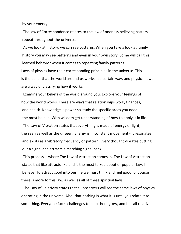by your energy.

 The law of Correspondence relates to the law of oneness believing patters repeat throughout the universe.

 As we look at history, we can see patterns. When you take a look at family history you may see patterns and even in your own story. Some will call this learned behavior when it comes to repeating family patterns.

Laws of physics have their corresponding principles in the universe. This is the belief that the world around us works in a certain way, and physical laws are a way of classifying how it works.

 Examine your beliefs of the world around you. Explore your feelings of how the world works. There are ways that relationships work, finances, and health. Knowledge is power so study the specific areas you need the most help in. With wisdom get understanding of how to apply it in life.

 The Law of Vibration states that everything is made of energy or light, the seen as well as the unseen. Energy is in constant movement - it resonates and exists as a vibratory frequency or pattern. Every thought vibrates putting out a signal and attracts a matching signal back.

 This process is where The Law of Attraction comes in. The Law of Attraction states that like attracts like and is the most talked about or popular law, I believe. To attract good into our life we must think and feel good, of course there is more to this law, as well as all of these spiritual laws.

 The Law of Relativity states that all observers will see the same laws of physics operating in the universe. Also, that nothing is what it is until you relate it to something. Everyone faces challenges to help them grow, and It is all relative.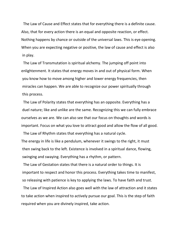The Law of Cause and Effect states that for everything there is a definite cause. Also, that for every action there is an equal and opposite reaction, or effect. Nothing happens by chance or outside of the universal laws. This is eye opening. When you are expecting negative or positive, the law of cause and effect is also in play.

 The Law of Transmutation is spiritual alchemy. The jumping off point into enlightenment. It states that energy moves in and out of physical form. When you know how to move among higher and lower energy frequencies, then miracles can happen. We are able to recognize our power spiritually through this process.

 The Law of Polarity states that everything has an opposite. Everything has a duel nature; like and unlike are the same. Recognizing this we can fully embrace ourselves as we are. We can also see that our focus on thoughts and words is important. Focus on what you love to attract good and allow the flow of all good.

The Law of Rhythm states that everything has a natural cycle.

The energy in life is like a pendulum, whenever it swings to the right, it must then swing back to the left. Existence is involved in a spiritual dance, flowing, swinging and swaying. Everything has a rhythm, or pattern.

 The Law of Gestation states that there is a natural order to things. It is important to respect and honor this process. Everything takes time to manifest, so releasing with patience is key to applying the laws. To have faith and trust.

 The Law of Inspired Action also goes well with the law of attraction and it states to take action when inspired to actively pursue our goal. This is the step of faith required when you are divinely inspired, take action.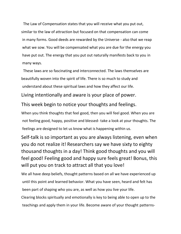The Law of Compensation states that you will receive what you put out, similar to the law of attraction but focused on that compensation can come in many forms. Good deeds are rewarded by the Universe - also that we reap what we sow. You will be compensated what you are due for the energy you have put out. The energy that you put out naturally manifests back to you in many ways.

 These laws are so fascinating and interconnected. The laws themselves are beautifully woven into the spirit of life. There is so much to study and understand about these spiritual laws and how they affect our life.

Living intentionally and aware is your place of power.

#### This week begin to notice your thoughts and feelings.

When you think thoughts that feel good, then you will feel good. When you are not feeling good, happy, positive and blessed- take a look at your thoughts. The feelings are designed to let us know what is happening within us.

Self-talk is so important as you are always listening, even when you do not realize it! Researchers say we have sixty to eighty thousand thoughts in a day! Think good thoughts and you will feel good! Feeling good and happy sure feels great! Bonus, this will put you on track to attract all that you love!

We all have deep beliefs, thought patterns based on all we have experienced up until this point and learned behavior. What you have seen, heard and felt has been part of shaping who you are, as well as how you live your life.

Clearing blocks spiritually and emotionally is key to being able to open up to the teachings and apply them in your life. Become aware of your thought patterns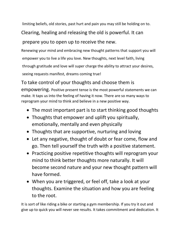limiting beliefs, old stories, past hurt and pain you may still be holding on to.

Clearing, healing and releasing the old is powerful. It can

## prepare you to open up to receive the new.

Renewing your mind and embracing new thought patterns that support you will empower you to live a life you love. New thoughts, next level faith, living through gratitude and love will super charge the ability to attract your desires, seeing requests manifest, dreams coming true!

# To take control of your thoughts and choose them is

empowering. Positive present tense is the most powerful statements we can make. It taps us into the feeling of having it now. There are so many ways to reprogram your mind to think and believe in a new positive way.

- The most important part is to start thinking good thoughts
- Thoughts that empower and uplift you spiritually, emotionally, mentally and even physically
- Thoughts that are supportive, nurturing and loving
- Let any negative, thought of doubt or fear come, flow and go. Then tell yourself the truth with a positive statement.
- Practicing positive repetitive thoughts will reprogram your mind to think better thoughts more naturally. It will become second nature and your new thought pattern will have formed.
- When you are triggered, or feel off, take a look at your thoughts. Examine the situation and how you are feeling to the root.

It is sort of like riding a bike or starting a gym membership. If you try it out and give up to quick you will never see results. It takes commitment and dedication. It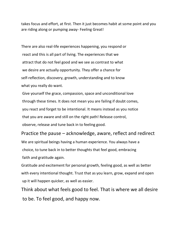takes focus and effort, at first. Then it just becomes habit at some point and you are riding along or pumping away- Feeling Great!

There are also real-life experiences happening, you respond or react and this is all part of living. The experiences that we attract that do not feel good and we see as contrast to what we desire are actually opportunity. They offer a chance for self-reflection, discovery, growth, understanding and to know what you really do want.

Give yourself the grace, compassion, space and unconditional love through these times. It does not mean you are failing if doubt comes, you react and forget to be intentional. It means instead as you notice that you are aware and still on the right path! Release control, observe, release and tune back in to feeling good.

Practice the pause – acknowledge, aware, reflect and redirect We are spiritual beings having a human experience. You always have a choice, to tune back in to better thoughts that feel good, embracing faith and gratitude again.

Gratitude and excitement for personal growth, feeling good, as well as better with every intentional thought. Trust that as you learn, grow, expand and open up it will happen quicker, as well as easier.

Think about what feels good to feel. That is where we all desire to be. To feel good, and happy now.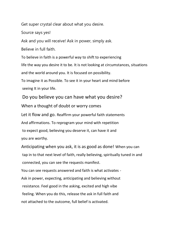Get super crystal clear about what you desire.

Source says yes!

Ask and you will receive! Ask in power, simply ask.

Believe in full faith.

To believe in faith is a powerful way to shift to experiencing life the way you desire it to be. It is not looking at circumstances, situations and the world around you. It is focused on possibility.

To imagine it as Possible. To see it in your heart and mind before seeing It in your life.

### Do you believe you can have what you desire?

When a thought of doubt or worry comes

Let it flow and go. Reaffirm your powerful faith statements And affirmations. To reprogram your mind with repetition to expect good, believing you deserve it, can have it and you are worthy.

Anticipating when you ask, it is as good as done! When you can tap in to that next level of faith, really believing, spiritually tuned in and connected, you can see the requests manifest.

You can see requests answered and faith is what activates - Ask in power, expecting, anticipating and believing without resistance. Feel good in the asking, excited and high vibe feeling. When you do this, release the ask in full faith and not attached to the outcome, full belief is activated.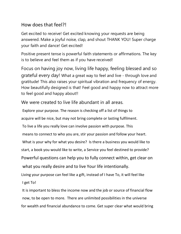## How does that feel?!

Get excited to receive! Get excited knowing your requests are being answered. Make a joyful noise, clap, and shout THANK YOU! Super charge your faith and dance! Get excited!

Positive present tense is powerful faith statements or affirmations. The key is to believe and feel them as if you have received!

Focus on having joy now, living life happy, feeling blessed and so grateful every day! What a great way to feel and live - through love and gratitude! This also raises your spiritual vibration and frequency of energy. How beautifully designed is that! Feel good and happy now to attract more to feel good and happy about!!

We were created to live life abundant in all areas.

Explore your purpose. The reason is checking off a list of things to

acquire will be nice, but may not bring complete or lasting fulfilment.

To live a life you really love can involve passion with purpose. This

means to connect to who you are, stir your passion and follow your heart.

What is your why for what you desire? Is there a business you would like to

start, a book you would like to write, a Service you feel destined to provide?

Powerful questions can help you to fully connect within, get clear on

what you really desire and to live Your life intentionally.

Living your purpose can feel like a gift, instead of I have To, it will feel like I get To!

It is important to bless the income now and the job or source of financial flow now, to be open to more. There are unlimited possibilities in the universe for wealth and financial abundance to come. Get super clear what would bring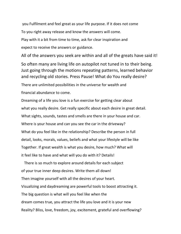you Fulfilment and feel great as your life purpose. If it does not come To you right away release and know the answers will come. Play with it a bit from time to time, ask for clear inspiration and expect to receive the answers or guidance.

All of the answers you seek are within and all of the greats have said it!

So often many are living life on autopilot not tuned in to their being. Just going through the motions repeating patterns, learned behavior and recycling old stories. Press Pause! What do You really desire?

There are unlimited possibilities in the universe for wealth and financial abundance to come.

Dreaming of a life you love is a fun exercise for getting clear about what you really desire. Get really specific about each desire in great detail. What sights, sounds, tastes and smells are there in your house and car. Where is your house and can you see the car in the driveway? What do you feel like in the relationship? Describe the person in full detail, looks, morals, values, beliefs and what your lifestyle will be like Together. If great wealth is what you desire, how much? What will it feel like to have and what will you do with it? Details!

 There is so much to explore around details for each subject of your true inner deep desires. Write them all down! Then imagine yourself with all the desires of your heart. Visualizing and daydreaming are powerful tools to boost attracting it. The big question is what will you feel like when the dream comes true, you attract the life you love and it is your new Reality? Bliss, love, freedom, joy, excitement, grateful and overflowing?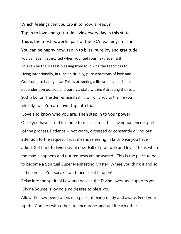Which feelings can you tap in to now, already? Tap in to love and gratitude, living every day in this state. This is the most powerful part of the LOA teachings for me. You can be happy now, tap in to bliss, pure joy and gratitude. You can even get excited when you fuel your next level faith! This can be the biggest blessing from following the teachings to Living intentionally, in tune spiritually, pure vibrations of love and Gratitude, so happy now. This is attracting a life you love. It is not dependent on outside and purely a state within. Attracting the rest, Such a bonus! The desires manifesting will only add to the life you already love. You are love- tap into that!

Love and know who you are. Then step in to your power! Once you have asked it is time to release in faith - having patience is part of the process. Patience = not worry, obsessed or constantly giving our attention to the request. Trust means releasing in faith once you have asked. Get back to living joyful now. Full of gratitude and love! This is when the magic happens and our requests are answered!! This is the place to be to become a Spiritual Super Manifesting Master! Where you think it and so it becomes!! You speak it and then see it happen!

Relax into the spiritual flow and believe the Divine loves and supports you. Divine Source is loving a nd desires to bless you.

Allow the flow being open, in a place of being ready and aware. Feed your spirit!! Connect with others to encourage, and uplift each other.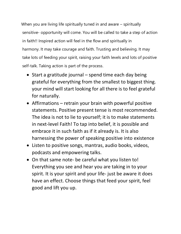When you are living life spiritually tuned in and aware – spiritually sensitive- opportunity will come. You will be called to take a step of action in faith!! Inspired action will feel in the flow and spiritually in harmony. It may take courage and faith. Trusting and believing. It may take lots of feeding your spirit, raising your faith levels and lots of positive self-talk. Taking action is part of the process.

- Start a gratitude journal spend time each day being grateful for everything from the smallest to biggest thing. your mind will start looking for all there is to feel grateful for naturally.
- Affirmations retrain your brain with powerful positive statements. Positive present tense is most recommended. The idea is not to lie to yourself; it is to make statements in next-level Faith! To tap into belief, it is possible and embrace it in such faith as if it already is. It is also harnessing the power of speaking positive into existence
- Listen to positive songs, mantras, audio books, videos, podcasts and empowering talks.
- On that same note- be careful what you listen to! Everything you see and hear you are taking in to your spirit. It is your spirit and your life- just be aware it does have an effect. Choose things that feed your spirit, feel good and lift you up.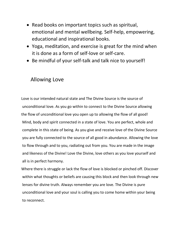- Read books on important topics such as spiritual, emotional and mental wellbeing. Self-help, empowering, educational and inspirational books.
- Yoga, meditation, and exercise is great for the mind when it is done as a form of self-love or self-care.
- Be mindful of your self-talk and talk nice to yourself!

## Allowing Love

Love is our intended natural state and The Divine Source is the source of unconditional love. As you go within to connect to the Divine Source allowing the flow of unconditional love you open up to allowing the flow of all good! Mind, body and spirit connected in a state of love. You are perfect, whole and complete in this state of being. As you give and receive love of the Divine Source you are fully connected to the source of all good in abundance. Allowing the love to flow through and to you, radiating out from you. You are made in the image and likeness of the Divine! Love the Divine, love others as you love yourself and all is in perfect harmony.

Where there is struggle or lack the flow of love is blocked or pinched off. Discover within what thoughts or beliefs are causing this block and then look through new lenses for divine truth. Always remember you are love. The Divine is pure unconditional love and your soul is calling you to come home within your being to reconnect.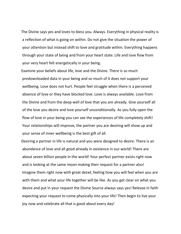The Divine says yes and loves to bless you. Always. Everything in physical reality is a reflection of what is going on within. Do not give the situation the power of your attention but instead shift to love and gratitude within. Everything happens through your state of being and from your heart state. Life and love flow from your very heart felt energetically in your being.

Examine your beliefs about life, love and the Divine. There is so much predownloaded data in your being and so much of it does not support your wellbeing. Love does not hurt. People feel struggle when there is a perceived absence of love or they have blocked love. Love is always available. Love from the Divine and from the deep well of love that you are already. Give yourself all of the love you desire and love yourself unconditionally. As you fully open the flow of love in your being you can see the experiences of life completely shift! Your relationships will improve, the partner you are desiring will show up and your sense of inner wellbeing is the best gift of all.

Desiring a partner in life is natural and you were designed to desire. There is an abundance of love and all good already in existence in our world! There are about seven billion people in the world! Your perfect partner exists right now and is looking at the same moon making their request for a partner also! Imagine them right now with great detail, feeling how you will feel when you are with them and what your life together will be like. As you get clear on what you desire and put in your request the Divine Source always says yes! Release in faith expecting your request to come physically into your life! Then begin to live your joy now and celebrate all that is good about every day!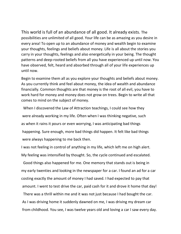This world is full of an abundance of all good. It already exists. The possibilities are unlimited of all good. Your life can be as amazing as you desire in every area! To open up to an abundance of money and wealth begin to examine your thoughts, feelings and beliefs about money. Life is all about the stories you carry in your thoughts, feelings and also energetically in your being. The thought patterns and deep-rooted beliefs from all you have experienced up until now. You have observed, felt, heard and absorbed through all of your life experiences up until now.

Begin to examine them all as you explore your thoughts and beliefs about money. As you currently think and feel about money, the idea of wealth and abundance financially. Common thoughts are that money is the root of all evil, you have to work hard for money and money does not grow on trees. Begin to write all that comes to mind on the subject of money.

 When I discovered the Law of Attraction teachings, I could see how they were already working in my life. Often when I was thinking negative, such as when it rains it pours or even worrying, I was anticipating bad things happening. Sure enough, more bad things did happen. It felt like bad things were always happening to me back then.

I was not feeling in control of anything in my life, which left me on high alert. My feeling was intensified by thought. So, the cycle continued and escalated.

 Good things also happened for me. One memory that stands out is being in my early twenties and looking in the newspaper for a car. I found an ad for a car costing exactly the amount of money I had saved. I had expected to pay that amount. I went to test drive the car, paid cash for it and drove it home that day!

 There was a thrill within me and it was not just because I had bought the car. As I was driving home it suddenly dawned on me, I was driving my dream car from childhood. You see, I was twelve years old and loving a car I saw every day.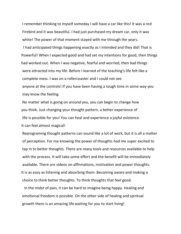I remember thinking to myself someday I will have a car like this! It was a red Firebird and it was beautiful. I had just purchased my dream car, only it was white! The power of that moment stayed with me through the years.

 I had anticipated things happening exactly as I intended and they did! That is Powerful! When I expected good and had set my intentions for good, then things had worked out. When I was negative, fearful and worried, then bad things were attracted into my life. Before I learned of the teaching's life felt like a complete mess. I was on a rollercoaster and I could not see anyone at the controls! If you have been having a tough time in some way you may know the feeling.

No matter what is going on around you, you can begin to change how you think. Just changing your thought pattern, a better experience of life is possible for you! You can heal and experience a joyful existence. It can feel almost magical!

Reprograming thought patterns can sound like a lot of work, but it is all a matter of perception. For me knowing the power of thoughts had me super excited to tap in to better thoughts. There are many tools and resources available to help with the process. It will take some effort and the benefit will be immediately available. There are videos on affirmations, motivation and power thoughts. It is as easy as listening and absorbing them. Becoming aware and making a choice to think better thoughts. To think thoughts that feel good.

 In the midst of pain, it can be hard to imagine being happy. Healing and emotional freedom is possible. On the other side of healing and spiritual growth there is an amazing life waiting for you to start living!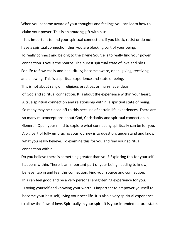When you become aware of your thoughts and feelings you can learn how to claim your power. This is an amazing gift within us.

 It is important to find your spiritual connection. If you block, resist or do not have a spiritual connection then you are blocking part of your being. To really connect and belong to the Divine Source is to really find your power connection. Love is the Source. The purest spiritual state of love and bliss. For life to flow easily and beautifully; become aware, open, giving, receiving and allowing. This is a spiritual experience and state of being. This is not about religion, religious practices or man-made ideas of God and spiritual connection. It is about the experience within your heart. A true spiritual connection and relationship within, a spiritual state of being. So many may be closed off to this because of certain life experiences. There are so many misconceptions about God, Christianity and spiritual connection in General. Open your mind to explore what connecting spiritually can be for you. A big part of fully embracing your journey is to question, understand and know what you really believe. To examine this for you and find your spiritual connection within.

Do you believe there is something greater than you? Exploring this for yourself happens within. There is an important part of your being needing to know, believe, tap in and feel this connection. Find your source and connection. This can feel good and be a very personal enlightening experience for you.

 Loving yourself and knowing your worth is important to empower yourself to become your best self, living your best life. It is also a very spiritual experience to allow the flow of love. Spiritually in your spirit it is your intended natural state.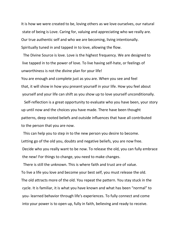It is how we were created to be, loving others as we love ourselves, our natural state of being is Love. Caring for, valuing and appreciating who we really are. Our true authentic self and who we are becoming, living intentionally. Spiritually tuned in and tapped in to love, allowing the flow.

 The Divine Source is love. Love is the highest frequency. We are designed to live tapped in to the power of love. To live having self-hate, or feelings of unworthiness is not the divine plan for your life!

You are enough and complete just as you are. When you see and feel that, it will show in how you present yourself in your life. How you feel about yourself and your life can shift as you show up to love yourself unconditionally.

 Self-reflection is a great opportunity to evaluate who you have been, your story up until now and the choices you have made. There have been thought patterns, deep rooted beliefs and outside influences that have all contributed to the person that you are now.

 This can help you to step in to the new person you desire to become. Letting go of the old you, doubts and negative beliefs, you are now free. Decide who you really want to be now. To release the old, you can fully embrace the new! For things to change, you need to make changes.

 There is still the unknown. This is where faith and trust are of value. To live a life you love and become your best self, you must release the old. The old attracts more of the old. You repeat the pattern. You stay stuck in the cycle. It is familiar, it is what you have known and what has been "normal" to you- learned behavior through life's experiences. To fully connect and come into your power is to open up, fully in faith, believing and ready to receive.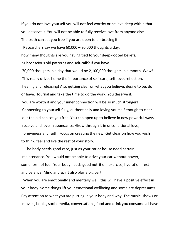If you do not love yourself you will not feel worthy or believe deep within that you deserve it. You will not be able to fully receive love from anyone else. The truth can set you free if you are open to embracing it.

Researchers say we have 60,000 – 80,000 thoughts a day.

how many thoughts are you having tied to your deep-rooted beliefs,

Subconscious old patterns and self-talk? If you have

70,000 thoughts in a day that would be 2,100,000 thoughts in a month. Wow! This really drives home the importance of self-care, self-love, reflection, healing and releasing! Also getting clear on what you believe, desire to be, do or have. Journal and take the time to do the work. You deserve it, you are worth it and your inner connection will be so much stronger! Connecting to yourself fully, authentically and loving yourself enough to clear out the old can set you free. You can open up to believe in new powerful ways, receive and love in abundance. Grow through it in unconditional love, forgiveness and faith. Focus on creating the new. Get clear on how you wish to think, feel and live the rest of your story.

 The body needs good care, just as your car or house need certain maintenance. You would not be able to drive your car without power, some form of fuel. Your body needs good nutrition, exercise, hydration, rest and balance. Mind and spirit also play a big part.

 When you are emotionally and mentally well, this will have a positive effect in your body. Some things lift your emotional wellbeing and some are depressants. Pay attention to what you are putting in your body and why. The music, shows or movies, books, social media, conversations, food and drink you consume all have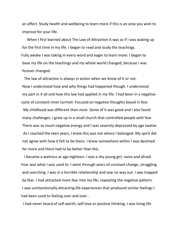an affect. Study health and wellbeing to learn more if this is an area you wish to improve for your life.

 When I first learned about The Law of Attraction it was as if I was waking up for the first time in my life. I began to read and study the teachings. Fully awake I was taking in every word and eager to learn more. I began to base my life on the teachings and my whole world changed, because I was forever changed.

 The law of attraction is always in action when we know of it or not. Now I understood how and why things had happened though. I understood my part in it all and how this law had applied in my life. I had been in a negative cycle of constant inner turmoil. Focused on negative thoughts based in fear. My childhood was different than most. Some of it was good and I also faced many challenges. I grew up in a small church that controlled people with fear. There was so much negative energy and I was severely depressed by age twelve. As I reached the teen years, I knew this was not where I belonged. My spirit did not agree with how it felt to be there. I knew somewhere within I was destined for more and there had to be better than this.

 I became a waitress at age eighteen. I was a shy young girl, naive and afraid. Fear was what I was used to. I went through years of constant change, struggling and searching. I was in a horrible relationship and saw no way out. I was trapped by fear. I had attracted more fear into my life, repeating the negative pattern. I was unintentionally attracting life experiences that produced similar feelings I had been used to feeling over and over .

I had never heard of self-worth, self-love or positive thinking. I was living life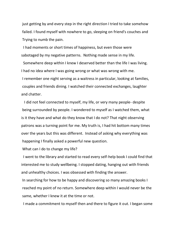just getting by and every step in the right direction I tried to take somehow failed. I found myself with nowhere to go, sleeping on friend's couches and Trying to numb the pain.

 I had moments or short times of happiness, but even those were sabotaged by my negative patterns. Nothing made sense in my life.

 Somewhere deep within I knew I deserved better than the life I was living. I had no idea where I was going wrong or what was wrong with me. I remember one night serving as a waitress in particular, looking at families, couples and friends dining. I watched their connected exchanges, laughter and chatter.

 I did not feel connected to myself, my life, or very many people- despite being surrounded by people. I wondered to myself as I watched them, what is it they have and what do they know that I do not? That night observing patrons was a turning point for me. My truth is, I had hit bottom many times over the years but this was different. Instead of asking why everything was happening I finally asked a powerful new question.

What can I do to change my life?

 I went to the library and started to read every self-help book I could find that interested me to study wellbeing. I stopped dating, hanging out with friends and unhealthy choices. I was obsessed with finding the answer.

In searching for how to be happy and discovering so many amazing books I reached my point of no return. Somewhere deep within I would never be the same, whether I knew it at the time or not.

I made a commitment to myself then and there to figure it out. I began some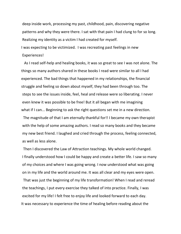deep inside work, processing my past, childhood, pain, discovering negative patterns and why they were there. I sat with that pain I had clung to for so long. Realizing my identity as a victim I had created for myself.

I was expecting to be victimized. I was recreating past feelings in new Experiences!

 As I read self-help and healing books, it was so great to see I was not alone. The things so many authors shared in these books I read were similar to all I had experienced. The bad things that happened in my relationships, the financial struggle and feeling so down about myself, they had been through too. The steps to see the issues inside, feel, heal and release were so liberating. I never even knew it was possible to be free! But it all began with me imagining what if I can... Beginning to ask the right questions set me in a new direction.

 The magnitude of that I am eternally thankful for!! I became my own therapist with the help of some amazing authors. I read so many books and they became my new best friend. I laughed and cried through the process, feeling connected, as well as less alone.

 Then I discovered the Law of Attraction teachings. My whole world changed. I finally understood how I could be happy and create a better life. I saw so many of my choices and where I was going wrong. I now understood what was going on in my life and the world around me. It was all clear and my eyes were open. That was just the beginning of my life transformation! When I read and reread the teachings, I put every exercise they talked of into practice. Finally, I was excited for my life! I felt free to enjoy life and looked forward to each day. It was necessary to experience the time of healing before reading about the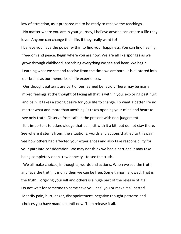law of attraction, as it prepared me to be ready to receive the teachings.

 No matter where you are in your journey, I believe anyone can create a life they love. Anyone can change their life, if they really want to!

I believe you have the power within to find your happiness. You can find healing, freedom and peace. Begin where you are now. We are all like sponges as we grow through childhood, absorbing everything we see and hear. We begin Learning what we see and receive from the time we are born. It is all stored into our brains as our memories of life experiences.

 Our thought patterns are part of our learned behavior. There may be many mixed feelings at the thought of facing all that is with in you, exploring past hurt and pain. It takes a strong desire for your life to change. To want a better life no matter what and more than anything. It takes opening your mind and heart to see only truth. Observe from safe in the present with non-judgement.

 It is important to acknowledge that pain, sit with it a bit, but do not stay there. See where it stems from, the situations, words and actions that led to this pain. See how others had affected your experiences and also take responsibility for your part into consideration. We may not think we had a part and it may take being completely open- raw honesty - to see the truth.

 We all make choices, in thoughts, words and actions. When we see the truth, and face the truth, it is only then we can be free. Some things I allowed. That is the truth. Forgiving yourself and others is a huge part of the release of it all. Do not wait for someone to come save you, heal you or make it all better! Identify pain, hurt, anger, disappointment, negative thought patterns and choices you have made up until now. Then release it all.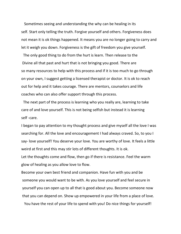Sometimes seeing and understanding the why can be healing in its self. Start only telling the truth. Forgive yourself and others. Forgiveness does not mean it is ok things happened. It means you are no longer going to carry and let it weigh you down. Forgiveness is the gift of freedom you give yourself.

 The only good thing to do from the hurt is learn. Then release to the Divine all that past and hurt that is not bringing you good. There are so many resources to help with this process and if it is too much to go through on your own, I suggest getting a licensed therapist or doctor. It is ok to reach out for help and it takes courage. There are mentors, counselors and life coaches who can also offer support through this process.

 The next part of the process is learning who you really are, learning to take care of and love yourself. This is not being selfish but instead it is learning self -care.

I began to pay attention to my thought process and give myself all the love I was searching for. All the love and encouragement I had always craved. So, to you I say- love yourself! You deserve your love. You are worthy of love. It feels a little weird at first and this may stir lots of different thoughts. It is ok.

Let the thoughts come and flow, then go if there is resistance. Feel the warm glow of healing as you allow love to flow.

Become your own best friend and companion. Have fun with you and be someone you would want to be with. As you love yourself and feel secure in yourself you can open up to all that is good about you. Become someone now that you can depend on. Show up empowered in your life from a place of love.

You have the rest of your life to spend with you! Do nice things for yourself!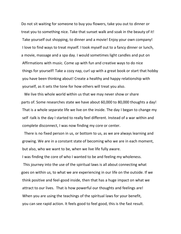Do not sit waiting for someone to buy you flowers, take you out to dinner or treat you to something nice. Take that sunset walk and soak in the beauty of it! Take yourself out shopping, to dinner and a movie! Enjoy your own company! I love to find ways to treat myself. I took myself out to a fancy dinner or lunch, a movie, massage and a spa day. I would sometimes light candles and put on Affirmations with music. Come up with fun and creative ways to do nice things for yourself! Take a cozy nap, curl up with a great book or start that hobby you have been thinking about! Create a healthy and happy relationship with yourself, as it sets the tone for how others will treat you also.

We live this whole world within us that we may never show or share parts of. Some researches state we have about 60,000 to 80,000 thoughts a day! That is a whole separate life we live on the inside. The day I began to change my self -talk is the day I started to really feel different. Instead of a war within and complete disconnect, I was now finding my core or center.

 There is no fixed person in us, or bottom to us, as we are always learning and growing. We are in a constant state of becoming who we are in each moment, but also, who we want to be, when we live life fully aware.

I was finding the core of who I wanted to be and feeling my wholeness.

 This journey into the use of the spiritual laws is all about connecting what goes on within us, to what we are experiencing in our life on the outside. If we think positive and feel-good inside, then that has a huge impact on what we attract to our lives. That is how powerful our thoughts and feelings are! When you are using the teachings of the spiritual laws for your benefit, you can see rapid action. It feels good to feel good, this is the fast result.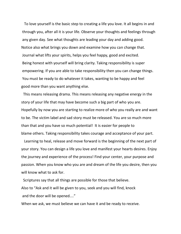To love yourself is the basic step to creating a life you love. It all begins in and through you, after all it is your life. Observe your thoughts and feelings through any given day. See what thoughts are leading your day and adding good. Notice also what brings you down and examine how you can change that. Journal what lifts your spirits, helps you feel happy, good and excited. Being honest with yourself will bring clarity. Taking responsibility is super empowering. If you are able to take responsibility then you can change things. You must be ready to do whatever it takes, wanting to be happy and feel good more than you want anything else.

 This means releasing drama. This means releasing any negative energy in the story of your life that may have become such a big part of who you are. Hopefully by now you are starting to realize more of who you really are and want to be. The victim label and sad story must be released. You are so much more than that and you have so much potential! It is easier for people to blame others. Taking responsibility takes courage and acceptance of your part.

 Learning to heal, release and move forward is the beginning of the next part of your story. You can design a life you love and manifest your hearts desires. Enjoy the journey and experience of the process! Find your center, your purpose and passion. When you know who you are and dream of the life you desire, then you will know what to ask for.

 Scriptures say that all things are possible for those that believe. Also to "Ask and it will be given to you, seek and you will find, knock and the door will be opened...."

When we ask, we must believe we can have it and be ready to receive.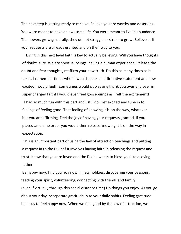The next step is getting ready to receive. Believe you are worthy and deserving. You were meant to have an awesome life. You were meant to live in abundance. The flowers grow gracefully, they do not struggle or strain to grow. Believe as if your requests are already granted and on their way to you.

 Living in this next level faith is key to actually believing. Will you have thoughts of doubt, sure. We are spiritual beings, having a human experience. Release the doubt and fear thoughts, reaffirm your new truth. Do this as many times as it takes. I remember times when I would speak an affirmative statement and how excited I would feel! I sometimes would clap saying thank you over and over in super charged faith! I would even feel goosebumps as I felt the excitement!

 I had so much fun with this part and I still do. Get excited and tune in to feelings of feeling good. That feeling of knowing it is on the way, whatever it is you are affirming. Feel the joy of having your requests granted. If you placed an online order you would then release knowing it is on the way in expectation.

 This is an important part of using the law of attraction teachings and putting a request in to the Divine! It involves having faith in releasing the request and trust. Know that you are loved and the Divine wants to bless you like a loving father.

Be happy now, find your joy now in new hobbies, discovering your passions, feeding your spirit, volunteering, connecting with friends and family. (even if virtually through this social distance time) Do things you enjoy. As you go about your day incorporate gratitude in to your daily habits. Feeling gratitude helps us to feel happy now. When we feel good by the law of attraction, we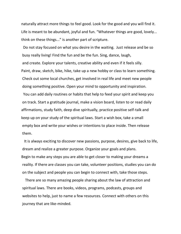naturally attract more things to feel good. Look for the good and you will find it. Life is meant to be abundant, joyful and fun. "Whatever things are good, lovely... think on these things..." is another part of scripture.

 Do not stay focused on what you desire in the waiting. Just release and be so busy really living! Find the fun and be the fun. Sing, dance, laugh, and create. Explore your talents, creative ability and even if it feels silly. Paint, draw, sketch, bike, hike, take up a new hobby or class to learn something. Check out some local churches, get involved in real life and meet new people doing something positive. Open your mind to opportunity and inspiration. You can add daily routines or habits that help to feed your spirit and keep you on track. Start a gratitude journal, make a vision board, listen to or read daily affirmations, study faith, deep dive spiritually, practice positive self-talk and keep up on your study of the spiritual laws. Start a wish box, take a small empty box and write your wishes or intentions to place inside. Then release them.

 It is always exciting to discover new passions, purpose, desires, give back to life, dream and realize a greater purpose. Organize your goals and plans. Begin to make any steps you are able to get closer to making your dreams a reality. If there are classes you can take, volunteer positions, studies you can do on the subject and people you can begin to connect with, take those steps.

 There are so many amazing people sharing about the law of attraction and spiritual laws. There are books, videos, programs, podcasts, groups and websites to help, just to name a few resources. Connect with others on this journey that are like-minded.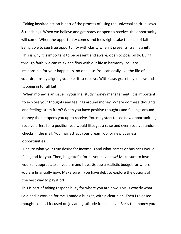Taking inspired action is part of the process of using the universal spiritual laws & teachings. When we believe and get ready or open to receive, the opportunity will come. When the opportunity comes and feels right, take the leap of faith. Being able to see true opportunity with clarity when it presents itself is a gift. This is why it is important to be present and aware, open to possibility. Living through faith, we can relax and flow with our life in harmony. You are responsible for your happiness, no one else. You can easily live the life of your dreams by aligning your spirit to receive. With ease, gracefully in flow and tapping in to full faith.

 When money is an issue in your life, study money management. It is important to explore your thoughts and feelings around money. Where do these thoughts and feelings stem from? When you have positive thoughts and feelings around money then it opens you up to receive. You may start to see new opportunities, receive offers for a position you would like, get a raise and even receive random checks in the mail. You may attract your dream job, or new business opportunities.

 Realize what your true desire for income is and what career or business would feel good for you. Then, be grateful for all you have now! Make sure to love yourself, appreciate all you are and have. Set up a realistic budget for where you are financially now. Make sure if you have debt to explore the options of the best way to pay it off.

This is part of taking responsibility for where you are now. This is exactly what I did and it worked for me. I made a budget, with a clear plan. Then I released thoughts on it. I focused on joy and gratitude for all I have. Bless the money you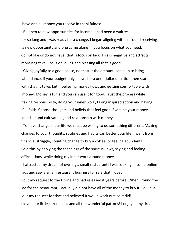have and all money you receive in thankfulness.

 Be open to new opportunities for income. I had been a waitress for so long and I was ready for a change. I began aligning within around receiving a new opportunity and one came along! If you focus on what you need, do not like or do not have, that is focus on lack. This is negative and attracts more negative. Focus on loving and blessing all that is good.

 Giving joyfully to a good cause, no matter the amount, can help to bring abundance. If your budget only allows for a one -dollar donation then start with that. It takes faith, believing money flows and getting comfortable with money. Money is fun and you can use it for good. Trust the process while taking responsibility, doing your inner work, taking inspired action and having full faith. Choose thoughts and beliefs that feel good. Examine your money mindset and cultivate a good relationship with money.

 To have change in our life we must be willing to do something different. Making changes to your thoughts, routines and habits can better your life. I went from financial struggle, counting change to buy a coffee, to feeling abundant! I did this by applying the teachings of the spiritual laws, saying and feeling affirmations, while doing my inner work around money.

 I attracted my dream of owning a small restaurant! I was looking in some online ads and saw a small restaurant business for sale that I loved.

I put my request to the Divine and had released it years before. When I found the ad for the restaurant, I actually did not have all of the money to buy it. So, I put out my request for that and believed it would work out, so it did! I loved our little corner spot and all the wonderful patrons! I enjoyed my dream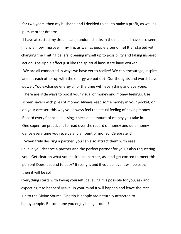for two years, then my husband and I decided to sell to make a profit, as well as pursue other dreams.

 I have attracted my dream cars, random checks in the mail and I have also seen financial flow improve in my life, as well as people around me! It all started with changing the limiting beliefs, opening myself up to possibility and taking inspired action. The ripple effect just like the spiritual laws state have worked.

 We are all connected in ways we have yet to realize! We can encourage, inspire and lift each other up with the energy we put out! Our thoughts and words have power. You exchange energy all of the time with everything and everyone. There are little ways to boost your visual of money and money feelings. Use screen savers with piles of money. Always keep some money in your pocket, or on your dresser, this way you always feel the actual feeling of having money. Record every financial blessing, check and amount of money you take in. One super fun practice is to read over the record of money and do a money dance every time you receive any amount of money. Celebrate it!

 When truly desiring a partner, you can also attract them with ease. Believe you deserve a partner and the perfect partner for you is also requesting you. Get clear on what you desire in a partner, ask and get excited to meet this person! Does it sound to easy? It really is and if you believe it will be easy, then it will be so!

Everything starts with loving yourself, believing it is possible for you, ask and expecting it to happen! Make up your mind it will happen and leave the rest up to the Divine Source. One tip is people are naturally attracted to happy people. Be someone you enjoy being around!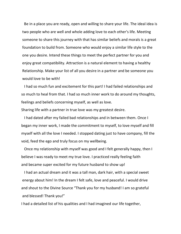Be in a place you are ready, open and willing to share your life. The ideal idea is two people who are well and whole adding love to each other's life. Meeting someone to share this journey with that has similar beliefs and morals is a great foundation to build from. Someone who would enjoy a similar life style to the one you desire. Intend these things to meet the perfect partner for you and enjoy great compatibility. Attraction is a natural element to having a healthy Relationship. Make your list of all you desire in a partner and be someone you would love to be with!

 I had so much fun and excitement for this part! I had failed relationships and so much to heal from that. I had so much inner work to do around my thoughts, feelings and beliefs concerning myself, as well as love.

Sharing life with a partner in true love was my greatest desire.

 I had dated after my failed bad relationships and in between them. Once I began my inner work, I made the commitment to myself, to love myself and fill myself with all the love I needed. I stopped dating just to have company, fill the void, feed the ego and truly focus on my wellbeing.

 Once my relationship with myself was good and I felt generally happy, then I believe I was ready to meet my true love. I practiced really feeling faith and became super excited for my future husband to show up!

 I had an actual dream and it was a tall man, dark hair, with a special sweet energy about him! In the dream I felt safe, love and peaceful. I would drive and shout to the Divine Source "Thank you for my husband! I am so grateful and blessed! Thank you!"

I had a detailed list of his qualities and I had imagined our life together,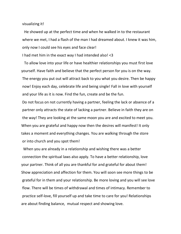visualizing it!

 He showed up at the perfect time and when he walked in to the restaurant where we met, I had a flash of the man I had dreamed about. I knew it was him, only now I could see his eyes and face clear!

I had met him in the exact way I had intended also! <3

 To allow love into your life or have healthier relationships you must first love yourself. Have faith and believe that the perfect person for you is on the way. The energy you put out will attract back to you what you desire. Then be happy now! Enjoy each day, celebrate life and being single! Fall in love with yourself and your life as it is now. Find the fun, create and be the fun.

Do not focus on not currently having a partner, feeling the lack or absence of a partner only attracts the state of lacking a partner. Believe in faith they are on the way! They are looking at the same moon you are and excited to meet you. When you are grateful and happy now then the desires will manifest! It only takes a moment and everything changes. You are walking through the store or into church and you spot them!

 When you are already in a relationship and wishing there was a better connection the spiritual laws also apply. To have a better relationship, love your partner. Think of all you are thankful for and grateful for about them! Show appreciation and affection for them. You will soon see more things to be grateful for in them and your relationship. Be more loving and you will see love flow. There will be times of withdrawal and times of intimacy. Remember to practice self-love, fill yourself up and take time to care for you! Relationships are about finding balance, mutual respect and showing love.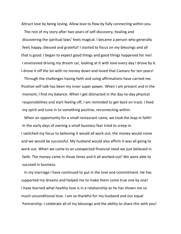Attract love by being loving. Allow love to flow by fully connecting within you.

 The rest of my story after two years of self-discovery, healing and discovering the spiritual laws' feels magical. I became a person who generally feels happy, blessed and grateful! I started to focus on my blessings and all that is good. I began to expect good things and good things happened for me! I envisioned driving my dream car, looking at it with love every day I drove by it. I drove it off the lot with no money down and loved that Camaro for ten years!

 Through the challenges having faith and using affirmations have carried me. Positive self-talk has been my inner super power. When I am present and in the moment, I find my balance. When I get distracted in the day-to-day physical responsibilities and start feeling off, I am reminded to get back on track. I feed my spirit and tune in to something positive, reconnecting within.

 When an opportunity for a small restaurant came, we took the leap in faith! In the early days of owning a small business fear tried to creep in. I switched my focus to believing it would all work out, the money would come and we would be successful. My husband would also affirm it was all going to work out. When we came to an unexpected financial need we just believed in faith. The money came in those times and it all worked out! We were able to succeed in business.

 In my marriage I have continued to put in the love and commitment. He has supported my dreams and helped me to make them come true one by one! I have learned what healthy love is in a relationship as he has shown me so much unconditional love. I am so thankful for my husband and our equal Partnership. I celebrate all of my blessings and the ability to share this with you!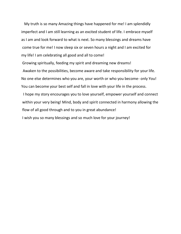My truth is so many Amazing things have happened for me! I am splendidly imperfect and I am still learning as an excited student of life. I embrace myself as I am and look forward to what is next. So many blessings and dreams have come true for me! I now sleep six or seven hours a night and I am excited for my life! I am celebrating all good and all to come!

Growing spiritually, feeding my spirit and dreaming new dreams!

 Awaken to the possibilities, become aware and take responsibility for your life. No one else determines who you are, your worth or who you become- only You! You can become your best self and fall in love with your life in the process.

 I hope my story encourages you to love yourself, empower yourself and connect within your very being! Mind, body and spirit connected in harmony allowing the flow of all good through and to you in great abundance!

I wish you so many blessings and so much love for your journey!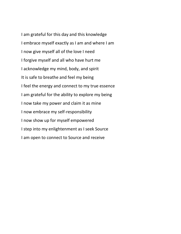I am grateful for this day and this knowledge I embrace myself exactly as I am and where I am I now give myself all of the love I need I forgive myself and all who have hurt me I acknowledge my mind, body, and spirit It is safe to breathe and feel my being I feel the energy and connect to my true essence I am grateful for the ability to explore my being I now take my power and claim it as mine I now embrace my self-responsibility I now show up for myself empowered I step into my enlightenment as I seek Source I am open to connect to Source and receive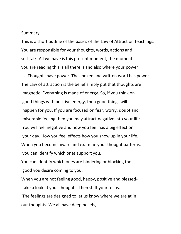#### Summary

This is a short outline of the basics of the Law of Attraction teachings. You are responsible for your thoughts, words, actions and self-talk. All we have is this present moment, the moment you are reading this is all there is and also where your power is. Thoughts have power. The spoken and written word has power. The Law of attraction is the belief simply put that thoughts are magnetic. Everything is made of energy. So, if you think on good things with positive energy, then good things will happen for you. If you are focused on fear, worry, doubt and miserable feeling then you may attract negative into your life. You will feel negative and how you feel has a big effect on your day. How you feel effects how you show up in your life. When you become aware and examine your thought patterns, you can identify which ones support you.

You can identify which ones are hindering or blocking the good you desire coming to you.

When you are not feeling good, happy, positive and blessedtake a look at your thoughts. Then shift your focus.

The feelings are designed to let us know where we are at in our thoughts. We all have deep beliefs,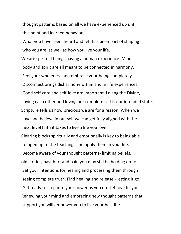thought patterns based on all we have experienced up until this point and learned behavior.

What you have seen, heard and felt has been part of shaping who you are, as well as how you live your life.

We are spiritual beings having a human experience. Mind, body and spirit are all meant to be connected in harmony. Feel your wholeness and embrace your being completely. Disconnect brings disharmony within and in life experiences. Good self-care and self-love are important. Loving the Divine, loving each other and loving our complete self is our intended state. Scripture tells us how precious we are for a reason. When we love and believe in our self we can get fully aligned with the next level faith it takes to live a life you love! Clearing blocks spiritually and emotionally is key to being able to open up to the teachings and apply them in your life. Become aware of your thought patterns- limiting beliefs, old stories, past hurt and pain you may still be holding on to. Set your intentions for healing and processing them through seeing complete truth. Find healing and release - letting it go. Get ready to step into your power as you do! Let love fill you. Renewing your mind and embracing new thought patterns that support you will empower you to live your best life.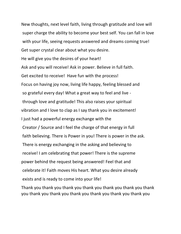New thoughts, next level faith, living through gratitude and love will super charge the ability to become your best self. You can fall in love with your life, seeing requests answered and dreams coming true! Get super crystal clear about what you desire. He will give you the desires of your heart! Ask and you will receive! Ask in power. Believe in full faith. Get excited to receive! Have fun with the process! Focus on having joy now, living life happy, feeling blessed and so grateful every day! What a great way to feel and live through love and gratitude! This also raises your spiritual vibration and I love to clap as I say thank you in excitement! I just had a powerful energy exchange with the Creator / Source and I feel the charge of that energy in full faith believing. There is Power in you! There is power in the ask. There is energy exchanging in the asking and believing to receive! I am celebrating that power! There is the supreme power behind the request being answered! Feel that and celebrate it! Faith moves His heart. What you desire already exists and is ready to come into your life!

Thank you thank you thank you thank you thank you thank you thank you thank you thank you thank you thank you thank you thank you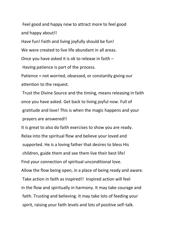Feel good and happy now to attract more to feel good and happy about!!

Have fun! Faith and living joyfully should be fun!

We were created to live life abundant in all areas.

Once you have asked it is ok to release in faith –

Having patience is part of the process.

Patience = not worried, obsessed, or constantly giving our attention to the request.

Trust the Divine Source and the timing, means releasing in faith once you have asked. Get back to living joyful now. Full of gratitude and love! This is when the magic happens and your prayers are answered!!

It is great to also do faith exercises to show you are ready. Relax into the spiritual flow and believe your loved and supported. He is a loving father that desires to bless His children, guide them and see them live their best life! Find your connection of spiritual unconditional love. Allow the flow being open, in a place of being ready and aware. Take action in faith as inspired!! Inspired action will feel in the flow and spiritually in harmony. It may take courage and faith. Trusting and believing. It may take lots of feeding your spirit, raising your faith levels and lots of positive self-talk.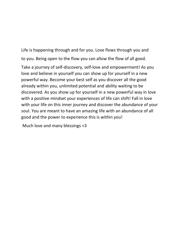Life is happening through and for you. Love flows through you and to you. Being open to the flow you can allow the flow of all good.

Take a journey of self-discovery, self-love and empowerment! As you love and believe in yourself you can show up for yourself in a new powerful way. Become your best self as you discover all the good already within you, unlimited potential and ability waiting to be discovered. As you show up for yourself in a new powerful way in love with a positive mindset your experiences of life can shift! Fall in love with your life on this inner journey and discover the abundance of your soul. You are meant to have an amazing life with an abundance of all good and the power to experience this is within you!

Much love and many blessings <3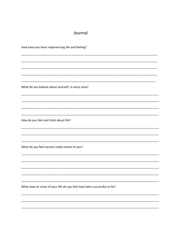#### Journal

How have you been experiencing life and feeling?

What do you believe about yourself, in every area?

How do you feel and think about life?

What do you feel success really means to you?

What ways or areas of your life do you feel have been successful so far?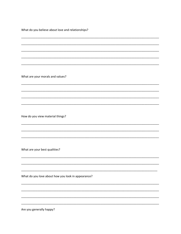What do you believe about love and relationships?

What are your morals and values?

How do you view material things?

What are your best qualities?

What do you love about how you look in appearance?

Are you generally happy?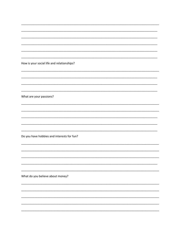| How is your social life and relationships? |
|--------------------------------------------|
|                                            |
|                                            |
|                                            |
|                                            |
|                                            |
| What are your passions?                    |
|                                            |
|                                            |
|                                            |
|                                            |
|                                            |
|                                            |
|                                            |
| Do you have hobbies and interests for fun? |
|                                            |
|                                            |
|                                            |
|                                            |
|                                            |
|                                            |
|                                            |
| What do you believe about money?           |
|                                            |
|                                            |
|                                            |
|                                            |
|                                            |
|                                            |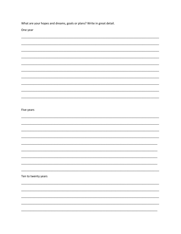What are your hopes and dreams, goals or plans? Write in great detail.

One year

| Five years          |  |
|---------------------|--|
|                     |  |
|                     |  |
|                     |  |
|                     |  |
|                     |  |
|                     |  |
|                     |  |
|                     |  |
|                     |  |
| Ten to twenty years |  |
|                     |  |
|                     |  |
|                     |  |
|                     |  |
|                     |  |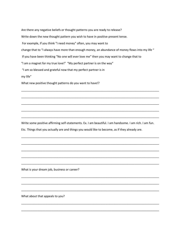Are there any negative beliefs or thought patterns you are ready to release? Write down the new thought pattern you wish to have in positive present tense. For example, If you think "I need money" often, you may want to change that to "I always have more than enough money, an abundance of money flows into my life " If you have been thinking "No one will ever love me" then you may want to change that to "I am a magnet for my true love!" "My perfect partner is on the way" "I am so blessed and grateful now that my perfect partner is in my life" What new positive thought patterns do you want to have!?

\_\_\_\_\_\_\_\_\_\_\_\_\_\_\_\_\_\_\_\_\_\_\_\_\_\_\_\_\_\_\_\_\_\_\_\_\_\_\_\_\_\_\_\_\_\_\_\_\_\_\_\_\_\_\_\_\_\_\_\_\_\_\_\_\_\_\_\_\_\_\_\_\_\_\_\_\_\_\_\_\_\_\_\_\_

\_\_\_\_\_\_\_\_\_\_\_\_\_\_\_\_\_\_\_\_\_\_\_\_\_\_\_\_\_\_\_\_\_\_\_\_\_\_\_\_\_\_\_\_\_\_\_\_\_\_\_\_\_\_\_\_\_\_\_\_\_\_\_\_\_\_\_\_\_\_\_\_\_\_\_\_\_\_\_\_\_\_\_\_\_

\_\_\_\_\_\_\_\_\_\_\_\_\_\_\_\_\_\_\_\_\_\_\_\_\_\_\_\_\_\_\_\_\_\_\_\_\_\_\_\_\_\_\_\_\_\_\_\_\_\_\_\_\_\_\_\_\_\_\_\_\_\_\_\_\_\_\_\_\_\_\_\_\_\_\_\_\_\_\_\_\_\_\_\_\_

\_\_\_\_\_\_\_\_\_\_\_\_\_\_\_\_\_\_\_\_\_\_\_\_\_\_\_\_\_\_\_\_\_\_\_\_\_\_\_\_\_\_\_\_\_\_\_\_\_\_\_\_\_\_\_\_\_\_\_\_\_\_\_\_\_\_\_\_\_\_\_\_\_\_\_\_\_\_\_\_\_\_\_\_\_

\_\_\_\_\_\_\_\_\_\_\_\_\_\_\_\_\_\_\_\_\_\_\_\_\_\_\_\_\_\_\_\_\_\_\_\_\_\_\_\_\_\_\_\_\_\_\_\_\_\_\_\_\_\_\_\_\_\_\_\_\_\_\_\_\_\_\_\_\_\_\_\_\_\_\_\_\_\_\_\_\_\_\_\_\_

\_\_\_\_\_\_\_\_\_\_\_\_\_\_\_\_\_\_\_\_\_\_\_\_\_\_\_\_\_\_\_\_\_\_\_\_\_\_\_\_\_\_\_\_\_\_\_\_\_\_\_\_\_\_\_\_\_\_\_\_\_\_\_\_\_\_\_\_\_\_\_\_\_\_\_\_\_\_\_\_\_\_\_\_\_

\_\_\_\_\_\_\_\_\_\_\_\_\_\_\_\_\_\_\_\_\_\_\_\_\_\_\_\_\_\_\_\_\_\_\_\_\_\_\_\_\_\_\_\_\_\_\_\_\_\_\_\_\_\_\_\_\_\_\_\_\_\_\_\_\_\_\_\_\_\_\_\_\_\_\_\_\_\_\_\_\_\_\_\_\_

\_\_\_\_\_\_\_\_\_\_\_\_\_\_\_\_\_\_\_\_\_\_\_\_\_\_\_\_\_\_\_\_\_\_\_\_\_\_\_\_\_\_\_\_\_\_\_\_\_\_\_\_\_\_\_\_\_\_\_\_\_\_\_\_\_\_\_\_\_\_\_\_\_\_\_\_\_\_\_\_\_\_\_\_\_

\_\_\_\_\_\_\_\_\_\_\_\_\_\_\_\_\_\_\_\_\_\_\_\_\_\_\_\_\_\_\_\_\_\_\_\_\_\_\_\_\_\_\_\_\_\_\_\_\_\_\_\_\_\_\_\_\_\_\_\_\_\_\_\_\_\_\_\_\_\_\_\_\_\_\_\_\_\_\_\_\_\_\_\_\_

\_\_\_\_\_\_\_\_\_\_\_\_\_\_\_\_\_\_\_\_\_\_\_\_\_\_\_\_\_\_\_\_\_\_\_\_\_\_\_\_\_\_\_\_\_\_\_\_\_\_\_\_\_\_\_\_\_\_\_\_\_\_\_\_\_\_\_\_\_\_\_\_\_\_\_\_\_\_\_\_\_\_\_\_\_

\_\_\_\_\_\_\_\_\_\_\_\_\_\_\_\_\_\_\_\_\_\_\_\_\_\_\_\_\_\_\_\_\_\_\_\_\_\_\_\_\_\_\_\_\_\_\_\_\_\_\_\_\_\_\_\_\_\_\_\_\_\_\_\_\_\_\_\_\_\_\_\_\_\_\_\_\_\_\_\_\_\_\_\_\_

\_\_\_\_\_\_\_\_\_\_\_\_\_\_\_\_\_\_\_\_\_\_\_\_\_\_\_\_\_\_\_\_\_\_\_\_\_\_\_\_\_\_\_\_\_\_\_\_\_\_\_\_\_\_\_\_\_\_\_\_\_\_\_\_\_\_\_\_\_\_\_\_\_\_\_\_\_\_\_\_\_\_\_\_\_

\_\_\_\_\_\_\_\_\_\_\_\_\_\_\_\_\_\_\_\_\_\_\_\_\_\_\_\_\_\_\_\_\_\_\_\_\_\_\_\_\_\_\_\_\_\_\_\_\_\_\_\_\_\_\_\_\_\_\_\_\_\_\_\_\_\_\_\_\_\_\_\_\_\_\_\_\_\_\_\_\_\_\_\_\_

\_\_\_\_\_\_\_\_\_\_\_\_\_\_\_\_\_\_\_\_\_\_\_\_\_\_\_\_\_\_\_\_\_\_\_\_\_\_\_\_\_\_\_\_\_\_\_\_\_\_\_\_\_\_\_\_\_\_\_\_\_\_\_\_\_\_\_\_\_\_\_\_\_\_\_\_\_\_\_\_\_\_\_\_\_

\_\_\_\_\_\_\_\_\_\_\_\_\_\_\_\_\_\_\_\_\_\_\_\_\_\_\_\_\_\_\_\_\_\_\_\_\_\_\_\_\_\_\_\_\_\_\_\_\_\_\_\_\_\_\_\_\_\_\_\_\_\_\_\_\_\_\_\_\_\_\_\_\_\_\_\_\_\_\_\_\_\_\_\_\_

Write some positive affirming self-statements. Ex. I am beautiful. I am handsome. I am rich. I am fun.

Etc. Things that you actually are and things you would like to become, as if they already are.

What is your dream job, business or career?

What about that appeals to you?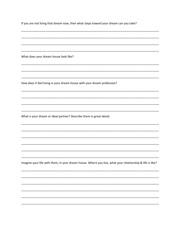If you are not living that dream now, then what steps toward your dream can you take? What does your dream house look like? How does it feel living in your dream house with your dream profession? What is your dream or ideal partner? Describe them in great detail. Imagine your life with them, in your dream house. Where you live, what your relationship & life is like?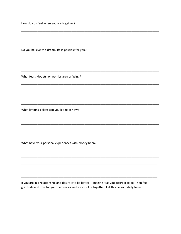How do you feel when you are together?

Do you believe this dream life is possible for you?

What fears, doubts, or worries are surfacing?

What limiting beliefs can you let go of now?

What have your personal experiences with money been?

If you are in a relationship and desire it to be better - imagine it as you desire it to be. Then feel gratitude and love for your partner as well as your life together. Let this be your daily focus.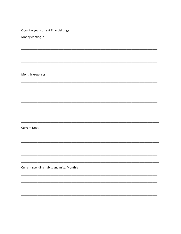| Organize your current financial buget     |
|-------------------------------------------|
| Money coming in                           |
|                                           |
|                                           |
|                                           |
|                                           |
|                                           |
| Monthly expenses                          |
|                                           |
|                                           |
|                                           |
|                                           |
|                                           |
|                                           |
|                                           |
| <b>Current Debt</b>                       |
|                                           |
|                                           |
|                                           |
|                                           |
|                                           |
| Current spending habits and misc. Monthly |
|                                           |
|                                           |
|                                           |
|                                           |
|                                           |
|                                           |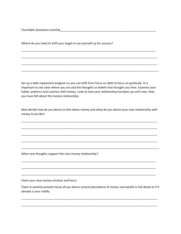Charitable donations monthly\_\_\_\_\_\_\_\_\_\_\_\_\_\_\_\_\_\_\_\_\_\_\_\_\_\_\_\_\_\_\_\_\_\_\_\_\_\_\_\_\_\_\_\_\_\_\_\_\_\_\_\_\_\_\_\_\_\_\_

Where do you need to shift your buget to set yourself up for success?

Set up a debt repayment program so you can shift from focus on debt to focus on gratitude. It is important to see clear where you are and the thoughts or beliefs that brought you here. Examine your habits, patterns and routines with money. Look at how your relationship has been up until now. How you have felt about the money relationship.

\_\_\_\_\_\_\_\_\_\_\_\_\_\_\_\_\_\_\_\_\_\_\_\_\_\_\_\_\_\_\_\_\_\_\_\_\_\_\_\_\_\_\_\_\_\_\_\_\_\_\_\_\_\_\_\_\_\_\_\_\_\_\_\_\_\_\_\_\_\_\_\_\_\_\_\_\_\_\_\_\_\_\_

\_\_\_\_\_\_\_\_\_\_\_\_\_\_\_\_\_\_\_\_\_\_\_\_\_\_\_\_\_\_\_\_\_\_\_\_\_\_\_\_\_\_\_\_\_\_\_\_\_\_\_\_\_\_\_\_\_\_\_\_\_\_\_\_\_\_\_\_\_\_\_\_\_\_\_\_\_\_\_\_\_\_\_\_

\_\_\_\_\_\_\_\_\_\_\_\_\_\_\_\_\_\_\_\_\_\_\_\_\_\_\_\_\_\_\_\_\_\_\_\_\_\_\_\_\_\_\_\_\_\_\_\_\_\_\_\_\_\_\_\_\_\_\_\_\_\_\_\_\_\_\_\_\_\_\_\_\_\_\_\_\_\_\_\_\_\_\_\_

\_\_\_\_\_\_\_\_\_\_\_\_\_\_\_\_\_\_\_\_\_\_\_\_\_\_\_\_\_\_\_\_\_\_\_\_\_\_\_\_\_\_\_\_\_\_\_\_\_\_\_\_\_\_\_\_\_\_\_\_\_\_\_\_\_\_\_\_\_\_\_\_\_\_\_\_\_\_\_\_\_\_\_\_\_

Now decide how do you desire to feel about money and what do you desire your new relationship with money to be like?

\_\_\_\_\_\_\_\_\_\_\_\_\_\_\_\_\_\_\_\_\_\_\_\_\_\_\_\_\_\_\_\_\_\_\_\_\_\_\_\_\_\_\_\_\_\_\_\_\_\_\_\_\_\_\_\_\_\_\_\_\_\_\_\_\_\_\_\_\_\_\_\_\_\_\_\_\_\_\_\_\_\_\_\_

\_\_\_\_\_\_\_\_\_\_\_\_\_\_\_\_\_\_\_\_\_\_\_\_\_\_\_\_\_\_\_\_\_\_\_\_\_\_\_\_\_\_\_\_\_\_\_\_\_\_\_\_\_\_\_\_\_\_\_\_\_\_\_\_\_\_\_\_\_\_\_\_\_\_\_\_\_\_\_\_\_\_\_\_

\_\_\_\_\_\_\_\_\_\_\_\_\_\_\_\_\_\_\_\_\_\_\_\_\_\_\_\_\_\_\_\_\_\_\_\_\_\_\_\_\_\_\_\_\_\_\_\_\_\_\_\_\_\_\_\_\_\_\_\_\_\_\_\_\_\_\_\_\_\_\_\_\_\_\_\_\_\_\_\_\_\_\_\_

\_\_\_\_\_\_\_\_\_\_\_\_\_\_\_\_\_\_\_\_\_\_\_\_\_\_\_\_\_\_\_\_\_\_\_\_\_\_\_\_\_\_\_\_\_\_\_\_\_\_\_\_\_\_\_\_\_\_\_\_\_\_\_\_\_\_\_\_\_\_\_\_\_\_\_\_\_\_\_\_\_\_\_\_

\_\_\_\_\_\_\_\_\_\_\_\_\_\_\_\_\_\_\_\_\_\_\_\_\_\_\_\_\_\_\_\_\_\_\_\_\_\_\_\_\_\_\_\_\_\_\_\_\_\_\_\_\_\_\_\_\_\_\_\_\_\_\_\_\_\_\_\_\_\_\_\_\_\_\_\_\_\_\_\_\_\_\_\_\_

\_\_\_\_\_\_\_\_\_\_\_\_\_\_\_\_\_\_\_\_\_\_\_\_\_\_\_\_\_\_\_\_\_\_\_\_\_\_\_\_\_\_\_\_\_\_\_\_\_\_\_\_\_\_\_\_\_\_\_\_\_\_\_\_\_\_\_\_\_\_\_\_\_\_\_\_\_\_\_\_\_\_\_

\_\_\_\_\_\_\_\_\_\_\_\_\_\_\_\_\_\_\_\_\_\_\_\_\_\_\_\_\_\_\_\_\_\_\_\_\_\_\_\_\_\_\_\_\_\_\_\_\_\_\_\_\_\_\_\_\_\_\_\_\_\_\_\_\_\_\_\_\_\_\_\_\_\_\_\_\_\_\_\_\_\_\_

\_\_\_\_\_\_\_\_\_\_\_\_\_\_\_\_\_\_\_\_\_\_\_\_\_\_\_\_\_\_\_\_\_\_\_\_\_\_\_\_\_\_\_\_\_\_\_\_\_\_\_\_\_\_\_\_\_\_\_\_\_\_\_\_\_\_\_\_\_\_\_\_\_\_\_\_\_\_\_\_\_\_\_

What new thoughts support this new money relationship?

Claim your new money mindset and focus

Claim in positive present tense all you desire around abundance of money and wealth in full detail as if it already is your reality

\_\_\_\_\_\_\_\_\_\_\_\_\_\_\_\_\_\_\_\_\_\_\_\_\_\_\_\_\_\_\_\_\_\_\_\_\_\_\_\_\_\_\_\_\_\_\_\_\_\_\_\_\_\_\_\_\_\_\_\_\_\_\_\_\_\_\_\_\_\_\_\_\_\_\_\_\_\_\_\_\_\_\_\_

\_\_\_\_\_\_\_\_\_\_\_\_\_\_\_\_\_\_\_\_\_\_\_\_\_\_\_\_\_\_\_\_\_\_\_\_\_\_\_\_\_\_\_\_\_\_\_\_\_\_\_\_\_\_\_\_\_\_\_\_\_\_\_\_\_\_\_\_\_\_\_\_\_\_\_\_\_\_\_\_\_\_\_\_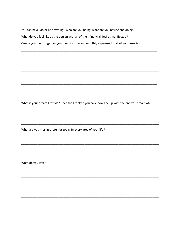You can have, do or be anything! who are you being, what are you having and doing? What do you feel like as the person with all of their financial desires manifested? Create your new buget for your new income and monthly expenses for all of your luxuries

What is your dream lifestyle? Does the life style you have now line up with the one you dream of?

What are you most grateful for today In every area of your life?

What do you love?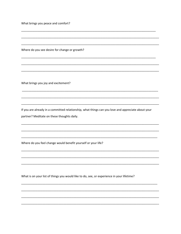What brings you peace and comfort?

Where do you see desire for change or growth?

What brings you joy and excitement?

If you are already in a committed relationship, what things can you love and appreciate about your partner? Meditate on these thoughts daily.

Where do you feel change would benefit yourself or your life?

What is on your list of things you would like to do, see, or experience in your lifetime?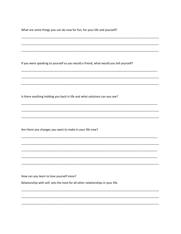What are some things you can do now for fun, for your life and yourself?

If you were speaking to yourself as you would a friend, what would you tell yourself?

Is there anything holding you back in life and what solutions can you see?

Are there any changes you want to make in your life now?

How can you learn to love yourself more?

Relationship with self, sets the tone for all other relationships in your life.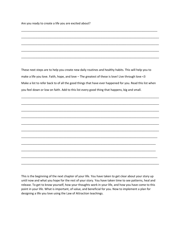Are you ready to create a life you are excited about?

These next steps are to help you create new daily routines and healthy habits. This will help you to make a life you love. Faith, hope, and love – The greatest of these is love! Live through love <3 Make a list to refer back to of all the good things that have ever happened for you. Read this list when you feel down or low on faith. Add to this list every good thing that happens, big and small.

\_\_\_\_\_\_\_\_\_\_\_\_\_\_\_\_\_\_\_\_\_\_\_\_\_\_\_\_\_\_\_\_\_\_\_\_\_\_\_\_\_\_\_\_\_\_\_\_\_\_\_\_\_\_\_\_\_\_\_\_\_\_\_\_\_\_\_\_\_\_\_\_\_\_\_\_\_\_\_\_\_\_\_\_\_

\_\_\_\_\_\_\_\_\_\_\_\_\_\_\_\_\_\_\_\_\_\_\_\_\_\_\_\_\_\_\_\_\_\_\_\_\_\_\_\_\_\_\_\_\_\_\_\_\_\_\_\_\_\_\_\_\_\_\_\_\_\_\_\_\_\_\_\_\_\_\_\_\_\_\_\_\_\_\_\_\_\_\_\_\_

\_\_\_\_\_\_\_\_\_\_\_\_\_\_\_\_\_\_\_\_\_\_\_\_\_\_\_\_\_\_\_\_\_\_\_\_\_\_\_\_\_\_\_\_\_\_\_\_\_\_\_\_\_\_\_\_\_\_\_\_\_\_\_\_\_\_\_\_\_\_\_\_\_\_\_\_\_\_\_\_\_\_\_\_\_

\_\_\_\_\_\_\_\_\_\_\_\_\_\_\_\_\_\_\_\_\_\_\_\_\_\_\_\_\_\_\_\_\_\_\_\_\_\_\_\_\_\_\_\_\_\_\_\_\_\_\_\_\_\_\_\_\_\_\_\_\_\_\_\_\_\_\_\_\_\_\_\_\_\_\_\_\_\_\_\_\_\_\_\_\_

\_\_\_\_\_\_\_\_\_\_\_\_\_\_\_\_\_\_\_\_\_\_\_\_\_\_\_\_\_\_\_\_\_\_\_\_\_\_\_\_\_\_\_\_\_\_\_\_\_\_\_\_\_\_\_\_\_\_\_\_\_\_\_\_\_\_\_\_\_\_\_\_\_\_\_\_\_\_\_\_\_\_\_\_\_

\_\_\_\_\_\_\_\_\_\_\_\_\_\_\_\_\_\_\_\_\_\_\_\_\_\_\_\_\_\_\_\_\_\_\_\_\_\_\_\_\_\_\_\_\_\_\_\_\_\_\_\_\_\_\_\_\_\_\_\_\_\_\_\_\_\_\_\_\_\_\_\_\_\_\_\_\_\_\_\_\_\_\_\_\_

\_\_\_\_\_\_\_\_\_\_\_\_\_\_\_\_\_\_\_\_\_\_\_\_\_\_\_\_\_\_\_\_\_\_\_\_\_\_\_\_\_\_\_\_\_\_\_\_\_\_\_\_\_\_\_\_\_\_\_\_\_\_\_\_\_\_\_\_\_\_\_\_\_\_\_\_\_\_\_\_\_\_\_\_

\_\_\_\_\_\_\_\_\_\_\_\_\_\_\_\_\_\_\_\_\_\_\_\_\_\_\_\_\_\_\_\_\_\_\_\_\_\_\_\_\_\_\_\_\_\_\_\_\_\_\_\_\_\_\_\_\_\_\_\_\_\_\_\_\_\_\_\_\_\_\_\_\_\_\_\_\_\_\_\_\_\_\_

\_\_\_\_\_\_\_\_\_\_\_\_\_\_\_\_\_\_\_\_\_\_\_\_\_\_\_\_\_\_\_\_\_\_\_\_\_\_\_\_\_\_\_\_\_\_\_\_\_\_\_\_\_\_\_\_\_\_\_\_\_\_\_\_\_\_\_\_\_\_\_\_\_\_\_\_\_\_\_\_\_\_\_

\_\_\_\_\_\_\_\_\_\_\_\_\_\_\_\_\_\_\_\_\_\_\_\_\_\_\_\_\_\_\_\_\_\_\_\_\_\_\_\_\_\_\_\_\_\_\_\_\_\_\_\_\_\_\_\_\_\_\_\_\_\_\_\_\_\_\_\_\_\_\_\_\_\_\_\_\_\_\_\_\_\_\_\_

\_\_\_\_\_\_\_\_\_\_\_\_\_\_\_\_\_\_\_\_\_\_\_\_\_\_\_\_\_\_\_\_\_\_\_\_\_\_\_\_\_\_\_\_\_\_\_\_\_\_\_\_\_\_\_\_\_\_\_\_\_\_\_\_\_\_\_\_\_\_\_\_\_\_\_\_\_\_\_\_\_\_\_\_\_

\_\_\_\_\_\_\_\_\_\_\_\_\_\_\_\_\_\_\_\_\_\_\_\_\_\_\_\_\_\_\_\_\_\_\_\_\_\_\_\_\_\_\_\_\_\_\_\_\_\_\_\_\_\_\_\_\_\_\_\_\_\_\_\_\_\_\_\_\_\_\_\_\_\_\_\_\_\_\_\_\_\_\_\_

\_\_\_\_\_\_\_\_\_\_\_\_\_\_\_\_\_\_\_\_\_\_\_\_\_\_\_\_\_\_\_\_\_\_\_\_\_\_\_\_\_\_\_\_\_\_\_\_\_\_\_\_\_\_\_\_\_\_\_\_\_\_\_\_\_\_\_\_\_\_\_\_\_\_\_\_\_\_\_\_\_\_\_\_\_

\_\_\_\_\_\_\_\_\_\_\_\_\_\_\_\_\_\_\_\_\_\_\_\_\_\_\_\_\_\_\_\_\_\_\_\_\_\_\_\_\_\_\_\_\_\_\_\_\_\_\_\_\_\_\_\_\_\_\_\_\_\_\_\_\_\_\_\_\_\_\_\_\_\_\_\_\_\_\_\_\_\_\_\_\_

\_\_\_\_\_\_\_\_\_\_\_\_\_\_\_\_\_\_\_\_\_\_\_\_\_\_\_\_\_\_\_\_\_\_\_\_\_\_\_\_\_\_\_\_\_\_\_\_\_\_\_\_\_\_\_\_\_\_\_\_\_\_\_\_\_\_\_\_\_\_\_\_\_\_\_\_\_\_\_\_\_\_\_\_\_

\_\_\_\_\_\_\_\_\_\_\_\_\_\_\_\_\_\_\_\_\_\_\_\_\_\_\_\_\_\_\_\_\_\_\_\_\_\_\_\_\_\_\_\_\_\_\_\_\_\_\_\_\_\_\_\_\_\_\_\_\_\_\_\_\_\_\_\_\_\_\_\_\_\_\_\_\_\_\_\_\_\_\_\_\_

This is the beginning of the next chapter of your life. You have taken to get clear about your story up until now and what you hope for the rest of your story. You have taken time to see patterns, heal and release. To get to know yourself, how your thoughts work in your life, and how you have come to this point in your life. What is important, of value, and beneficial for you. Now to implement a plan for designing a life you love using the Law of Attraction teachings.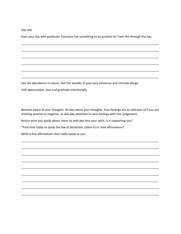#### Day one

Start your day with gratitude- Everyone has something to be grateful for! Feel this through the day.

See the abundance in nature, feel the wonder of your very existence and intricate design

Feel appreciation, love and gratitude intentionally

Become aware of your thoughts. All day notice your thoughts. Your feelings are an indicator of if you are thinking positive or negative, so also pay attention to your feelings with non-judgement.

Notice what you speak about, listen to and take into your spirit. Is it supporting you?

\*Find time today to study the law of attraction. Listen to or read affirmations\*

Write a few affirmations that really speak to you.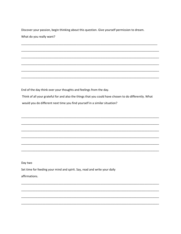Discover your passion, begin thinking about this question. Give yourself permission to dream. What do you really want?

End of the day think over your thoughts and feelings from the day.

Think of all your grateful for and also the things that you could have chosen to do differently. What would you do different next time you find yourself in a similar situation?

Day two

Set time for feeding your mind and spirit. Say, read and write your daily affirmations.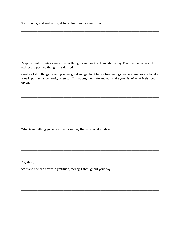Start the day and end with gratitude. Feel deep appreciation.

Keep focused on being aware of your thoughts and feelings through the day. Practice the pause and redirect to positive thoughts as desired.

Create a list of things to help you feel good and get back to positive feelings. Some examples are to take a walk, put on happy music, listen to affirmations, meditate and you make your list of what feels good for you

What is something you enjoy that brings joy that you can do today?

Day three

Start and end the day with gratitude, feeling it throughout your day.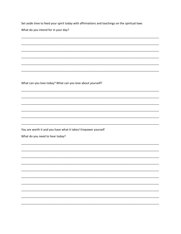Set aside time to feed your spirit today with affirmations and teachings on the spiritual laws

What do you intend for in your day?

What can you love today? What can you love about yourself?

You are worth it and you have what it takes! Empower yourself

What do you need to hear today?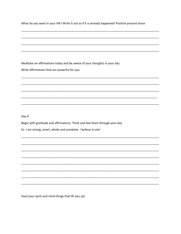What do you want in your life? Write it out as if it is already happened! Positive present tense

Meditate on affirmations today and be aware of your thoughts in your day.

Write affirmations that are powerful for you

Day 4

Begin with gratitude and affirmations. Think and feel them through your day

Ex. I am strong, smart, whole and complete. I believe in me!

Feed your spirit and mind things that lift you up!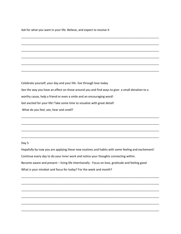Ask for what you want in your life. Believe, and expect to receive it

Celebrate yourself, your day and your life- live through love today See the way you have an effect on those around you and find ways to give- a small donation to a worthy cause, help a friend or even a smile and an encouraging word! Get excited for your life! Take some time to visualize with great detail! What do you feel, see, hear and smell?

\_\_\_\_\_\_\_\_\_\_\_\_\_\_\_\_\_\_\_\_\_\_\_\_\_\_\_\_\_\_\_\_\_\_\_\_\_\_\_\_\_\_\_\_\_\_\_\_\_\_\_\_\_\_\_\_\_\_\_\_\_\_\_\_\_\_\_\_\_\_\_\_\_\_\_\_\_\_\_\_\_\_\_\_\_

\_\_\_\_\_\_\_\_\_\_\_\_\_\_\_\_\_\_\_\_\_\_\_\_\_\_\_\_\_\_\_\_\_\_\_\_\_\_\_\_\_\_\_\_\_\_\_\_\_\_\_\_\_\_\_\_\_\_\_\_\_\_\_\_\_\_\_\_\_\_\_\_\_\_\_\_\_\_\_\_\_\_\_\_\_

\_\_\_\_\_\_\_\_\_\_\_\_\_\_\_\_\_\_\_\_\_\_\_\_\_\_\_\_\_\_\_\_\_\_\_\_\_\_\_\_\_\_\_\_\_\_\_\_\_\_\_\_\_\_\_\_\_\_\_\_\_\_\_\_\_\_\_\_\_\_\_\_\_\_\_\_\_\_\_\_\_\_\_\_\_

\_\_\_\_\_\_\_\_\_\_\_\_\_\_\_\_\_\_\_\_\_\_\_\_\_\_\_\_\_\_\_\_\_\_\_\_\_\_\_\_\_\_\_\_\_\_\_\_\_\_\_\_\_\_\_\_\_\_\_\_\_\_\_\_\_\_\_\_\_\_\_\_\_\_\_\_\_\_\_\_\_\_\_\_\_

\_\_\_\_\_\_\_\_\_\_\_\_\_\_\_\_\_\_\_\_\_\_\_\_\_\_\_\_\_\_\_\_\_\_\_\_\_\_\_\_\_\_\_\_\_\_\_\_\_\_\_\_\_\_\_\_\_\_\_\_\_\_\_\_\_\_\_\_\_\_\_\_\_\_\_\_\_\_\_\_\_\_\_\_\_

\_\_\_\_\_\_\_\_\_\_\_\_\_\_\_\_\_\_\_\_\_\_\_\_\_\_\_\_\_\_\_\_\_\_\_\_\_\_\_\_\_\_\_\_\_\_\_\_\_\_\_\_\_\_\_\_\_\_\_\_\_\_\_\_\_\_\_\_\_\_\_\_\_\_\_\_\_\_\_\_\_\_\_\_\_

\_\_\_\_\_\_\_\_\_\_\_\_\_\_\_\_\_\_\_\_\_\_\_\_\_\_\_\_\_\_\_\_\_\_\_\_\_\_\_\_\_\_\_\_\_\_\_\_\_\_\_\_\_\_\_\_\_\_\_\_\_\_\_\_\_\_\_\_\_\_\_\_\_\_\_\_\_\_\_\_\_\_\_\_\_

\_\_\_\_\_\_\_\_\_\_\_\_\_\_\_\_\_\_\_\_\_\_\_\_\_\_\_\_\_\_\_\_\_\_\_\_\_\_\_\_\_\_\_\_\_\_\_\_\_\_\_\_\_\_\_\_\_\_\_\_\_\_\_\_\_\_\_\_\_\_\_\_\_\_\_\_\_\_\_\_\_\_\_\_\_

\_\_\_\_\_\_\_\_\_\_\_\_\_\_\_\_\_\_\_\_\_\_\_\_\_\_\_\_\_\_\_\_\_\_\_\_\_\_\_\_\_\_\_\_\_\_\_\_\_\_\_\_\_\_\_\_\_\_\_\_\_\_\_\_\_\_\_\_\_\_\_\_\_\_\_\_\_\_\_\_\_\_\_\_\_

\_\_\_\_\_\_\_\_\_\_\_\_\_\_\_\_\_\_\_\_\_\_\_\_\_\_\_\_\_\_\_\_\_\_\_\_\_\_\_\_\_\_\_\_\_\_\_\_\_\_\_\_\_\_\_\_\_\_\_\_\_\_\_\_\_\_\_\_\_\_\_\_\_\_\_\_\_\_\_\_\_\_\_\_\_

#### Day 5

Hopefully by now you are applying these new routines and habits with some feeling and excitement! Continue every day to do your inner work and notice your thoughts connecting within. Become aware and present – living life intentionally - Focus on love, gratitude and feeling good What is your mindset and focus for today? For the week and month?

\_\_\_\_\_\_\_\_\_\_\_\_\_\_\_\_\_\_\_\_\_\_\_\_\_\_\_\_\_\_\_\_\_\_\_\_\_\_\_\_\_\_\_\_\_\_\_\_\_\_\_\_\_\_\_\_\_\_\_\_\_\_\_\_\_\_\_\_\_\_\_\_\_\_\_\_\_\_\_\_\_\_\_\_\_

\_\_\_\_\_\_\_\_\_\_\_\_\_\_\_\_\_\_\_\_\_\_\_\_\_\_\_\_\_\_\_\_\_\_\_\_\_\_\_\_\_\_\_\_\_\_\_\_\_\_\_\_\_\_\_\_\_\_\_\_\_\_\_\_\_\_\_\_\_\_\_\_\_\_\_\_\_\_\_\_\_\_\_\_\_

\_\_\_\_\_\_\_\_\_\_\_\_\_\_\_\_\_\_\_\_\_\_\_\_\_\_\_\_\_\_\_\_\_\_\_\_\_\_\_\_\_\_\_\_\_\_\_\_\_\_\_\_\_\_\_\_\_\_\_\_\_\_\_\_\_\_\_\_\_\_\_\_\_\_\_\_\_\_\_\_\_\_\_\_\_

\_\_\_\_\_\_\_\_\_\_\_\_\_\_\_\_\_\_\_\_\_\_\_\_\_\_\_\_\_\_\_\_\_\_\_\_\_\_\_\_\_\_\_\_\_\_\_\_\_\_\_\_\_\_\_\_\_\_\_\_\_\_\_\_\_\_\_\_\_\_\_\_\_\_\_\_\_\_\_\_\_\_\_\_\_

\_\_\_\_\_\_\_\_\_\_\_\_\_\_\_\_\_\_\_\_\_\_\_\_\_\_\_\_\_\_\_\_\_\_\_\_\_\_\_\_\_\_\_\_\_\_\_\_\_\_\_\_\_\_\_\_\_\_\_\_\_\_\_\_\_\_\_\_\_\_\_\_\_\_\_\_\_\_\_\_\_\_\_\_\_

\_\_\_\_\_\_\_\_\_\_\_\_\_\_\_\_\_\_\_\_\_\_\_\_\_\_\_\_\_\_\_\_\_\_\_\_\_\_\_\_\_\_\_\_\_\_\_\_\_\_\_\_\_\_\_\_\_\_\_\_\_\_\_\_\_\_\_\_\_\_\_\_\_\_\_\_\_\_\_\_\_\_\_\_\_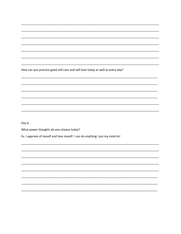How can you practice good self-care and self-love today as well as every day?

Day 6

What power thoughts do you choose today?

Ex. I approve of myself and love myself. I can do anything I put my mind to!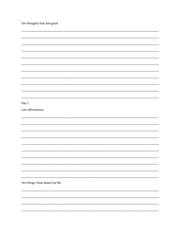| Ten thoughts that feel good     |
|---------------------------------|
|                                 |
|                                 |
|                                 |
|                                 |
|                                 |
|                                 |
|                                 |
|                                 |
|                                 |
|                                 |
| Day 7                           |
| I am affirmations               |
|                                 |
|                                 |
|                                 |
|                                 |
|                                 |
|                                 |
|                                 |
|                                 |
|                                 |
|                                 |
| Ten things I love about my life |
|                                 |
|                                 |
|                                 |
|                                 |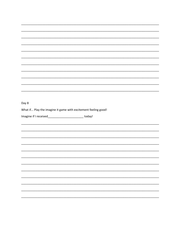| Day 8                                                          |
|----------------------------------------------------------------|
| What if Play the imagine it game with excitement feeling good! |
|                                                                |
| Imagine if I received_________________________today!           |
|                                                                |
|                                                                |
|                                                                |
|                                                                |
|                                                                |
|                                                                |
|                                                                |
|                                                                |
|                                                                |
|                                                                |
|                                                                |
|                                                                |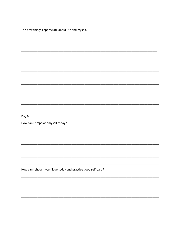Ten new things I appreciate about life and myself.

| Day 9                                                         |  |
|---------------------------------------------------------------|--|
| How can I empower myself today?                               |  |
|                                                               |  |
|                                                               |  |
|                                                               |  |
|                                                               |  |
|                                                               |  |
|                                                               |  |
|                                                               |  |
| How can I show myself love today and practice good self-care? |  |
|                                                               |  |
|                                                               |  |
|                                                               |  |
|                                                               |  |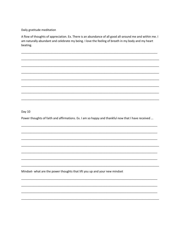Daily gratitude meditation

A flow of thoughts of appreciation. Ex. There is an abundance of all good all-around me and within me. I am naturally abundant and celebrate my being. I love the feeling of breath in my body and my heart beating.

Day 10

Power thoughts of faith and affirmations. Ex. I am so happy and thankful now that I have received ...

Mindset- what are the power thoughts that lift you up and your new mindset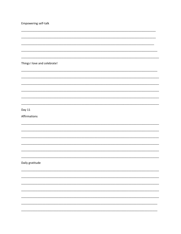| Empowering self-talk         |  |
|------------------------------|--|
|                              |  |
|                              |  |
|                              |  |
| Things I love and celebrate! |  |
|                              |  |
|                              |  |
|                              |  |
|                              |  |
|                              |  |
| Day 11                       |  |
| Affirmations                 |  |
|                              |  |
|                              |  |
|                              |  |
|                              |  |
|                              |  |
| Daily gratitude              |  |
|                              |  |
|                              |  |
|                              |  |
|                              |  |
|                              |  |
|                              |  |